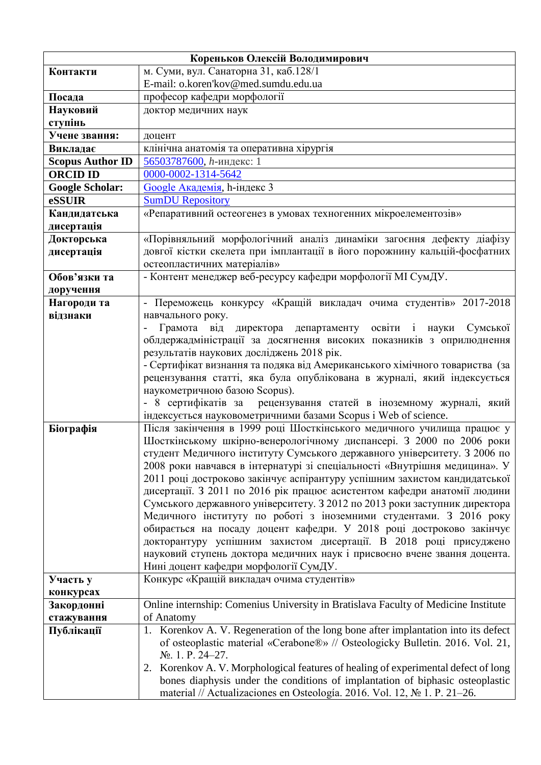| Кореньков Олексій Володимирович |                                                                                                                                                       |  |
|---------------------------------|-------------------------------------------------------------------------------------------------------------------------------------------------------|--|
| Контакти                        | м. Суми, вул. Санаторна 31, каб.128/1                                                                                                                 |  |
|                                 | E-mail: o.koren'kov@med.sumdu.edu.ua                                                                                                                  |  |
| Посада                          | професор кафедри морфології                                                                                                                           |  |
| Науковий                        | доктор медичних наук                                                                                                                                  |  |
| ступінь                         |                                                                                                                                                       |  |
| Учене звання:                   | доцент                                                                                                                                                |  |
| Викладає                        | клінічна анатомія та оперативна хірургія                                                                                                              |  |
| <b>Scopus Author ID</b>         | 56503787600, h-индекс: 1                                                                                                                              |  |
| <b>ORCID ID</b>                 | 0000-0002-1314-5642                                                                                                                                   |  |
| <b>Google Scholar:</b>          | Google Академія, h-індекс 3                                                                                                                           |  |
| eSSUIR                          | <b>SumDU Repository</b>                                                                                                                               |  |
| Кандидатська                    | «Репаративний остеогенез в умовах техногенних мікроелементозів»                                                                                       |  |
| дисертація                      |                                                                                                                                                       |  |
| Докторська                      | «Порівняльний морфологічний аналіз динаміки загоєння дефекту діафізу                                                                                  |  |
| дисертація                      | довгої кістки скелета при імплантації в його порожнину кальцій-фосфатних<br>остеопластичних матеріалів»                                               |  |
| Обов'язки та                    | - Контент менеджер веб-ресурсу кафедри морфології МІ СумДУ.                                                                                           |  |
| доручення                       |                                                                                                                                                       |  |
| Нагороди та                     | - Переможець конкурсу «Кращій викладач очима студентів» 2017-2018                                                                                     |  |
| відзнаки                        | навчального року.                                                                                                                                     |  |
|                                 | Грамота від директора департаменту освіти<br>Сумської<br>$\mathbf{i}$<br>науки                                                                        |  |
|                                 | облдержадміністрації за досягнення високих показників з оприлюднення                                                                                  |  |
|                                 | результатів наукових досліджень 2018 рік.                                                                                                             |  |
|                                 | - Сертифікат визнання та подяка від Американського хімічного товариства (за                                                                           |  |
|                                 | рецензування статті, яка була опублікована в журналі, який індексується                                                                               |  |
|                                 | наукометричною базою Scopus).                                                                                                                         |  |
|                                 | - 8 сертифікатів за рецензування статей в іноземному журналі, який                                                                                    |  |
|                                 | індексується науковометричними базами Scopus i Web of science.                                                                                        |  |
| Біографія                       | Після закінчення в 1999 році Шосткінського медичного училища працює у                                                                                 |  |
|                                 | Шосткінському шкірно-венерологічному диспансері. З 2000 по 2006 роки                                                                                  |  |
|                                 | студент Медичного інституту Сумського державного університету. З 2006 по                                                                              |  |
|                                 | 2008 роки навчався в інтернатурі зі спеціальності «Внутрішня медицина». У                                                                             |  |
|                                 | 2011 році достроково закінчує аспірантуру успішним захистом кандидатської<br>дисертації. З 2011 по 2016 рік працює асистентом кафедри анатомії людини |  |
|                                 | Сумського державного університету. З 2012 по 2013 роки заступник директора                                                                            |  |
|                                 | Медичного інституту по роботі з іноземними студентами. З 2016 року                                                                                    |  |
|                                 | обирається на посаду доцент кафедри. У 2018 році достроково закінчує                                                                                  |  |
|                                 | докторантуру успішним захистом дисертації. В 2018 році присуджено                                                                                     |  |
|                                 | науковий ступень доктора медичних наук і присвоєно вчене звання доцента.                                                                              |  |
|                                 | Нині доцент кафедри морфології СумДУ.                                                                                                                 |  |
| Участь у                        | Конкурс «Кращій викладач очима студентів»                                                                                                             |  |
| конкурсах                       |                                                                                                                                                       |  |
| Закордонні                      | Online internship: Comenius University in Bratislava Faculty of Medicine Institute                                                                    |  |
| стажування                      | of Anatomy                                                                                                                                            |  |
| Публікації                      | 1. Korenkov A. V. Regeneration of the long bone after implantation into its defect                                                                    |  |
|                                 | of osteoplastic material «Cerabone®» // Osteologicky Bulletin. 2016. Vol. 21,                                                                         |  |
|                                 | $N_2$ . 1. P. 24-27.                                                                                                                                  |  |
|                                 | 2. Korenkov A. V. Morphological features of healing of experimental defect of long                                                                    |  |
|                                 | bones diaphysis under the conditions of implantation of biphasic osteoplastic                                                                         |  |
|                                 | material // Actualizaciones en Osteología. 2016. Vol. 12, № 1. P. 21-26.                                                                              |  |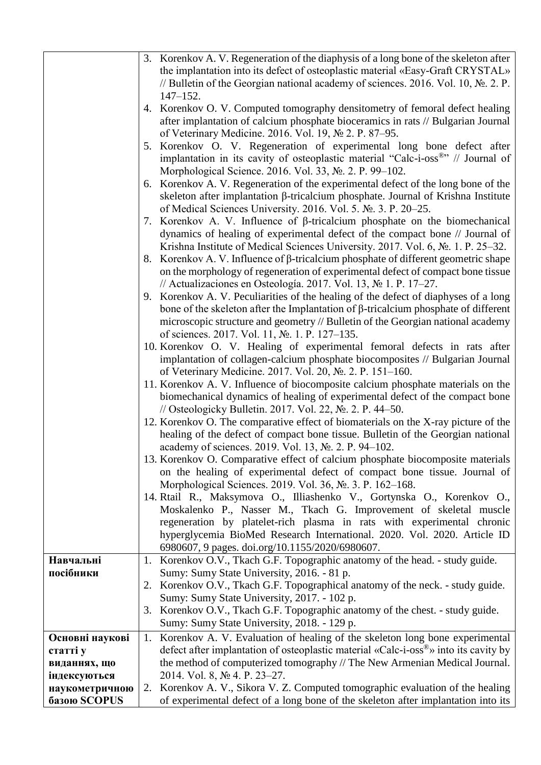|                 | 3. Korenkov A. V. Regeneration of the diaphysis of a long bone of the skeleton after             |
|-----------------|--------------------------------------------------------------------------------------------------|
|                 | the implantation into its defect of osteoplastic material «Easy-Graft CRYSTAL»                   |
|                 | // Bulletin of the Georgian national academy of sciences. 2016. Vol. 10, $\mathbb{N}_2$ . 2. P.  |
|                 | $147 - 152.$                                                                                     |
|                 | 4. Korenkov O. V. Computed tomography densitometry of femoral defect healing                     |
|                 | after implantation of calcium phosphate bioceramics in rats // Bulgarian Journal                 |
|                 | of Veterinary Medicine. 2016. Vol. 19, No 2. P. 87–95.                                           |
|                 | 5. Korenkov O. V. Regeneration of experimental long bone defect after                            |
|                 | implantation in its cavity of osteoplastic material "Calc-i-oss®" // Journal of                  |
|                 | Morphological Science. 2016. Vol. 33, №. 2. P. 99–102.                                           |
|                 | Korenkov A. V. Regeneration of the experimental defect of the long bone of the<br>6.             |
|                 | skeleton after implantation β-tricalcium phosphate. Journal of Krishna Institute                 |
|                 | of Medical Sciences University. 2016. Vol. 5. № 3. P. 20–25.                                     |
|                 | 7. Korenkov A. V. Influence of $\beta$ -tricalcium phosphate on the biomechanical                |
|                 | dynamics of healing of experimental defect of the compact bone // Journal of                     |
|                 | Krishna Institute of Medical Sciences University. 2017. Vol. 6, № 1. P. 25–32.                   |
|                 | 8. Korenkov A. V. Influence of $\beta$ -tricalcium phosphate of different geometric shape        |
|                 | on the morphology of regeneration of experimental defect of compact bone tissue                  |
|                 | // Actualizaciones en Osteología. 2017. Vol. 13, $\mathbb{N}^{\circ}$ 1. P. 17–27.               |
|                 |                                                                                                  |
|                 | 9. Korenkov A. V. Peculiarities of the healing of the defect of diaphyses of a long              |
|                 | bone of the skeleton after the Implantation of $\beta$ -tricalcium phosphate of different        |
|                 | microscopic structure and geometry // Bulletin of the Georgian national academy                  |
|                 | of sciences. 2017. Vol. 11, №. 1. P. 127–135.                                                    |
|                 | 10. Korenkov O. V. Healing of experimental femoral defects in rats after                         |
|                 | implantation of collagen-calcium phosphate biocomposites // Bulgarian Journal                    |
|                 | of Veterinary Medicine. 2017. Vol. 20, No. 2. P. 151-160.                                        |
|                 | 11. Korenkov A. V. Influence of biocomposite calcium phosphate materials on the                  |
|                 | biomechanical dynamics of healing of experimental defect of the compact bone                     |
|                 | // Osteologicky Bulletin. 2017. Vol. 22, No. 2. P. 44–50.                                        |
|                 | 12. Korenkov O. The comparative effect of biomaterials on the X-ray picture of the               |
|                 | healing of the defect of compact bone tissue. Bulletin of the Georgian national                  |
|                 | academy of sciences. 2019. Vol. 13, No. 2. P. 94–102.                                            |
|                 | 13. Korenkov O. Comparative effect of calcium phosphate biocomposite materials                   |
|                 | on the healing of experimental defect of compact bone tissue. Journal of                         |
|                 | Morphological Sciences. 2019. Vol. 36, № 3. P. 162–168.                                          |
|                 | 14. Rtail R., Maksymova O., Illiashenko V., Gortynska O., Korenkov O.,                           |
|                 | Moskalenko P., Nasser M., Tkach G. Improvement of skeletal muscle                                |
|                 | regeneration by platelet-rich plasma in rats with experimental chronic                           |
|                 | hyperglycemia BioMed Research International. 2020. Vol. 2020. Article ID                         |
|                 | 6980607, 9 pages. doi.org/10.1155/2020/6980607.                                                  |
| Навчальні       | 1. Korenkov O.V., Tkach G.F. Topographic anatomy of the head. - study guide.                     |
| посібники       | Sumy: Sumy State University, 2016. - 81 p.                                                       |
|                 | 2. Korenkov O.V., Tkach G.F. Topographical anatomy of the neck. - study guide.                   |
|                 | Sumy: Sumy State University, 2017. - 102 p.                                                      |
|                 | 3. Korenkov O.V., Tkach G.F. Topographic anatomy of the chest. - study guide.                    |
|                 | Sumy: Sumy State University, 2018. - 129 p.                                                      |
| Основні наукові | 1.<br>Korenkov A. V. Evaluation of healing of the skeleton long bone experimental                |
| статті у        | defect after implantation of osteoplastic material «Calc-i-oss <sup>®</sup> » into its cavity by |
| виданнях, що    | the method of computerized tomography // The New Armenian Medical Journal.                       |
| індексуються    | 2014. Vol. 8, № 4. P. 23–27.                                                                     |
| наукометричною  | Korenkov A. V., Sikora V. Z. Computed tomographic evaluation of the healing<br>2.                |
| базою SCOPUS    | of experimental defect of a long bone of the skeleton after implantation into its                |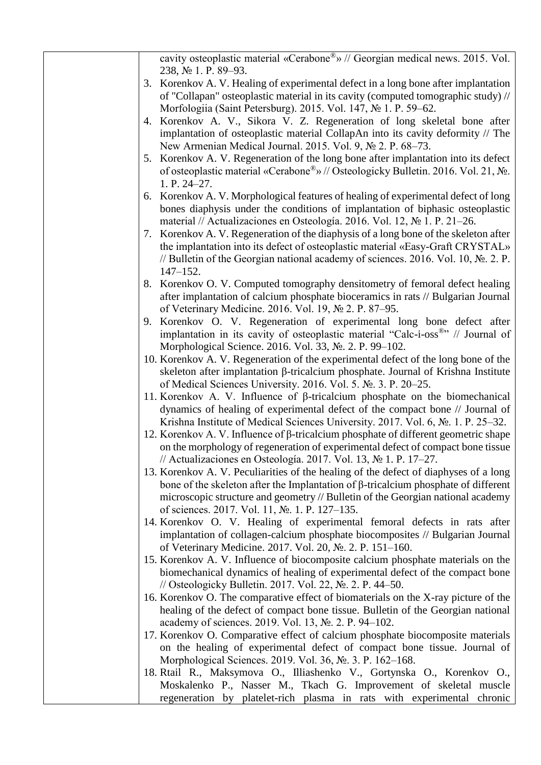| cavity osteoplastic material «Cerabone <sup>®</sup> » // Georgian medical news. 2015. Vol.<br>238, № 1. P. 89–93.                                                     |
|-----------------------------------------------------------------------------------------------------------------------------------------------------------------------|
| 3. Korenkov A. V. Healing of experimental defect in a long bone after implantation                                                                                    |
| of "Collapan" osteoplastic material in its cavity (computed tomographic study) //<br>Morfologiia (Saint Petersburg). 2015. Vol. 147, No 1. P. 59–62.                  |
| Korenkov A. V., Sikora V. Z. Regeneration of long skeletal bone after<br>4.                                                                                           |
| implantation of osteoplastic material CollapAn into its cavity deformity // The<br>New Armenian Medical Journal. 2015. Vol. 9, № 2. P. 68–73.                         |
| 5. Korenkov A. V. Regeneration of the long bone after implantation into its defect                                                                                    |
| of osteoplastic material «Cerabone <sup>®</sup> » // Osteologicky Bulletin. 2016. Vol. 21, No.<br>1. P. 24-27.                                                        |
| 6. Korenkov A. V. Morphological features of healing of experimental defect of long                                                                                    |
| bones diaphysis under the conditions of implantation of biphasic osteoplastic<br>material // Actualizaciones en Osteología. 2016. Vol. 12, № 1. P. 21–26.             |
| 7. Korenkov A. V. Regeneration of the diaphysis of a long bone of the skeleton after                                                                                  |
| the implantation into its defect of osteoplastic material «Easy-Graft CRYSTAL»                                                                                        |
| // Bulletin of the Georgian national academy of sciences. 2016. Vol. 10, $\mathbb{N}_2$ . 2. P.<br>$147 - 152.$                                                       |
| 8. Korenkov O. V. Computed tomography densitometry of femoral defect healing                                                                                          |
| after implantation of calcium phosphate bioceramics in rats // Bulgarian Journal<br>of Veterinary Medicine. 2016. Vol. 19, No 2. P. 87–95.                            |
| 9. Korenkov O. V. Regeneration of experimental long bone defect after                                                                                                 |
| implantation in its cavity of osteoplastic material "Calc-i-oss®" // Journal of                                                                                       |
| Morphological Science. 2016. Vol. 33, №. 2. P. 99–102.                                                                                                                |
| 10. Korenkov A. V. Regeneration of the experimental defect of the long bone of the                                                                                    |
| skeleton after implantation β-tricalcium phosphate. Journal of Krishna Institute<br>of Medical Sciences University. 2016. Vol. 5. № 3. P. 20–25.                      |
| 11. Korenkov A. V. Influence of $\beta$ -tricalcium phosphate on the biomechanical                                                                                    |
| dynamics of healing of experimental defect of the compact bone // Journal of<br>Krishna Institute of Medical Sciences University. 2017. Vol. 6, №. 1. P. 25–32.       |
| 12. Korenkov A. V. Influence of $\beta$ -tricalcium phosphate of different geometric shape                                                                            |
| on the morphology of regeneration of experimental defect of compact bone tissue<br>// Actualizaciones en Osteología. 2017. Vol. 13, $\mathbb{N}^{\circ}$ 1. P. 17–27. |
| 13. Korenkov A. V. Peculiarities of the healing of the defect of diaphyses of a long                                                                                  |
| bone of the skeleton after the Implantation of $\beta$ -tricalcium phosphate of different                                                                             |
| microscopic structure and geometry // Bulletin of the Georgian national academy                                                                                       |
| of sciences. 2017. Vol. 11, No. 1. P. 127–135.                                                                                                                        |
| 14. Korenkov O. V. Healing of experimental femoral defects in rats after                                                                                              |
| implantation of collagen-calcium phosphate biocomposites // Bulgarian Journal<br>of Veterinary Medicine. 2017. Vol. 20, No. 2. P. 151-160.                            |
| 15. Korenkov A. V. Influence of biocomposite calcium phosphate materials on the                                                                                       |
| biomechanical dynamics of healing of experimental defect of the compact bone<br>// Osteologicky Bulletin. 2017. Vol. 22, No. 2. P. 44–50.                             |
| 16. Korenkov O. The comparative effect of biomaterials on the X-ray picture of the                                                                                    |
| healing of the defect of compact bone tissue. Bulletin of the Georgian national                                                                                       |
| academy of sciences. 2019. Vol. 13, No. 2. P. 94–102.                                                                                                                 |
| 17. Korenkov O. Comparative effect of calcium phosphate biocomposite materials                                                                                        |
| on the healing of experimental defect of compact bone tissue. Journal of                                                                                              |
| Morphological Sciences. 2019. Vol. 36, № 3. P. 162–168.                                                                                                               |
| 18. Rtail R., Maksymova O., Illiashenko V., Gortynska O., Korenkov O.,<br>Moskalenko P., Nasser M., Tkach G. Improvement of skeletal muscle                           |
| regeneration by platelet-rich plasma in rats with experimental chronic                                                                                                |
|                                                                                                                                                                       |